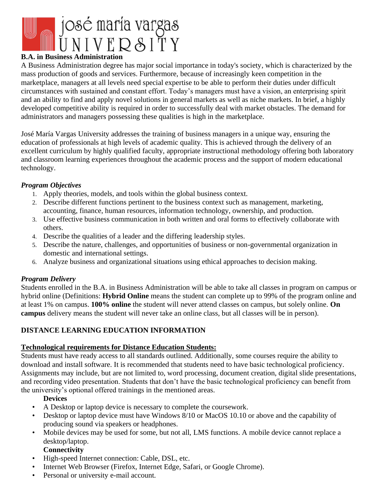

## **B.A. in Business Administration**

A Business Administration degree has major social importance in today's society, which is characterized by the mass production of goods and services. Furthermore, because of increasingly keen competition in the marketplace, managers at all levels need special expertise to be able to perform their duties under difficult circumstances with sustained and constant effort. Today's managers must have a vision, an enterprising spirit and an ability to find and apply novel solutions in general markets as well as niche markets. In brief, a highly developed competitive ability is required in order to successfully deal with market obstacles. The demand for administrators and managers possessing these qualities is high in the marketplace.

José María Vargas University addresses the training of business managers in a unique way, ensuring the education of professionals at high levels of academic quality. This is achieved through the delivery of an excellent curriculum by highly qualified faculty, appropriate instructional methodology offering both laboratory and classroom learning experiences throughout the academic process and the support of modern educational technology.

### *Program Objectives*

- 1. Apply theories, models, and tools within the global business context.
- 2. Describe different functions pertinent to the business context such as management, marketing, accounting, finance, human resources, information technology, ownership, and production.
- 3. Use effective business communication in both written and oral forms to effectively collaborate with others.
- 4. Describe the qualities of a leader and the differing leadership styles.
- 5. Describe the nature, challenges, and opportunities of business or non-governmental organization in domestic and international settings.
- 6. Analyze business and organizational situations using ethical approaches to decision making.

### *Program Delivery*

Students enrolled in the B.A. in Business Administration will be able to take all classes in program on campus or hybrid online (Definitions: **Hybrid Online** means the student can complete up to 99% of the program online and at least 1% on campus. **100% online** the student will never attend classes on campus, but solely online. **On campus** delivery means the student will never take an online class, but all classes will be in person).

# **DISTANCE LEARNING EDUCATION INFORMATION**

### **Technological requirements for Distance Education Students:**

Students must have ready access to all standards outlined. Additionally, some courses require the ability to download and install software. It is recommended that students need to have basic technological proficiency. Assignments may include, but are not limited to, word processing, document creation, digital slide presentations, and recording video presentation. Students that don't have the basic technological proficiency can benefit from the university's optional offered trainings in the mentioned areas.

## **Devices**

- A Desktop or laptop device is necessary to complete the coursework.
- Desktop or laptop device must have Windows 8/10 or MacOS 10.10 or above and the capability of producing sound via speakers or headphones.
- Mobile devices may be used for some, but not all, LMS functions. A mobile device cannot replace a desktop/laptop.

## **Connectivity**

- High-speed Internet connection: Cable, DSL, etc.
- Internet Web Browser (Firefox, Internet Edge, Safari, or Google Chrome).
- Personal or university e-mail account.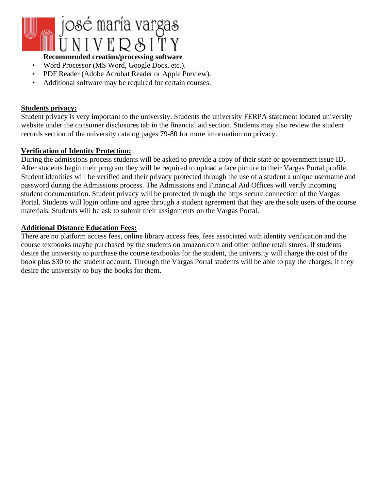

## **Recommended creation/processing software**

- Word Processor (MS Word, Google Docs, etc.).
- PDF Reader (Adobe Acrobat Reader or Apple Preview).
- Additional software may be required for certain courses.

#### **Students privacy:**

Student privacy is very important to the university. Students the university FERPA statement located university website under the consumer disclosures tab in the financial aid section. Students may also review the student records section of the university catalog pages 79-80 for more information on privacy.

#### **Verification of Identity Protection:**

During the admissions process students will be asked to provide a copy of their state or government issue ID. After students begin their program they will be required to upload a face picture to their Vargas Portal profile. Student identities will be verified and their privacy protected through the use of a student a unique username and password during the Admissions process. The Admissions and Financial Aid Offices will verify incoming student documentation. Student privacy will be protected through the https secure connection of the Vargas Portal. Students will login online and agree through a student agreement that they are the sole users of the course materials. Students will be ask to submit their assignments on the Vargas Portal.

#### **Additional Distance Education Fees:**

There are no platform access fees, online library access fees, fees associated with identity verification and the course textbooks maybe purchased by the students on amazon.com and other online retail stores. If students desire the university to purchase the course textbooks for the student, the university will charge the cost of the book plus \$30 to the student account. Through the Vargas Portal students will be able to pay the charges, if they desire the university to buy the books for them.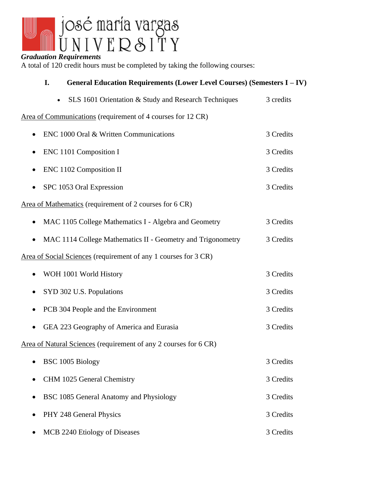

| Graduation Requirements<br>A total of 120 credit hours must be completed by taking the following courses: |           |                                                                         |           |
|-----------------------------------------------------------------------------------------------------------|-----------|-------------------------------------------------------------------------|-----------|
|                                                                                                           | I.        | General Education Requirements (Lower Level Courses) (Semesters I - IV) |           |
|                                                                                                           | $\bullet$ | SLS 1601 Orientation & Study and Research Techniques                    | 3 credits |
|                                                                                                           |           | Area of Communications (requirement of 4 courses for 12 CR)             |           |
|                                                                                                           |           | ENC 1000 Oral & Written Communications                                  | 3 Credits |
|                                                                                                           |           | ENC 1101 Composition I                                                  | 3 Credits |
|                                                                                                           |           | ENC 1102 Composition II                                                 | 3 Credits |
|                                                                                                           |           | SPC 1053 Oral Expression                                                | 3 Credits |
|                                                                                                           |           | Area of Mathematics (requirement of 2 courses for 6 CR)                 |           |
|                                                                                                           |           | MAC 1105 College Mathematics I - Algebra and Geometry                   | 3 Credits |
| ٠                                                                                                         |           | MAC 1114 College Mathematics II - Geometry and Trigonometry             | 3 Credits |
|                                                                                                           |           | Area of Social Sciences (requirement of any 1 courses for 3 CR)         |           |
|                                                                                                           |           | WOH 1001 World History                                                  | 3 Credits |
| $\bullet$                                                                                                 |           | SYD 302 U.S. Populations                                                | 3 Credits |
|                                                                                                           |           | PCB 304 People and the Environment                                      | 3 Credits |
|                                                                                                           |           |                                                                         |           |

Area of Natural Sciences (requirement of any 2 courses for 6 CR)

|           | $\bullet$ BSC 1005 Biology                | 3 Credits |
|-----------|-------------------------------------------|-----------|
|           | • CHM 1025 General Chemistry              | 3 Credits |
|           | • BSC 1085 General Anatomy and Physiology | 3 Credits |
|           | • PHY 248 General Physics                 | 3 Credits |
| $\bullet$ | MCB 2240 Etiology of Diseases             | 3 Credits |

• GEA 223 Geography of America and Eurasia 3 Credits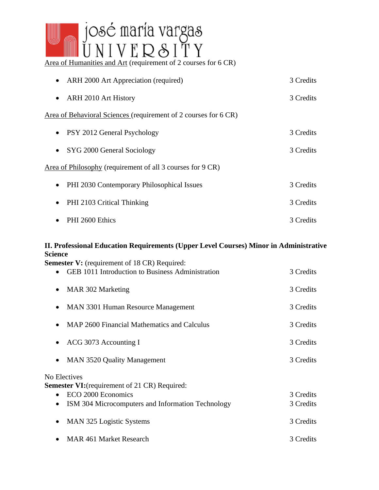

| • ARH 2000 Art Appreciation (required)                          | 3 Credits |  |
|-----------------------------------------------------------------|-----------|--|
| ARH 2010 Art History<br>$\bullet$                               | 3 Credits |  |
| Area of Behavioral Sciences (requirement of 2 courses for 6 CR) |           |  |
| • PSY 2012 General Psychology                                   | 3 Credits |  |
| SYG 2000 General Sociology<br>$\bullet$                         | 3 Credits |  |
| Area of Philosophy (requirement of all 3 courses for 9 CR)      |           |  |
| • PHI 2030 Contemporary Philosophical Issues                    | 3 Credits |  |
| PHI 2103 Critical Thinking<br>$\bullet$                         | 3 Credits |  |
| PHI 2600 Ethics<br>$\bullet$                                    | 3 Credits |  |

# **II. Professional Education Requirements (Upper Level Courses) Minor in Administrative Science**

**Semester V:** (requirement of 18 CR) Required:

| <b>GEB 1011 Introduction to Business Administration</b><br>$\bullet$ | 3 Credits |  |
|----------------------------------------------------------------------|-----------|--|
| MAR 302 Marketing<br>٠                                               | 3 Credits |  |
| MAN 3301 Human Resource Management<br>$\bullet$                      | 3 Credits |  |
| MAP 2600 Financial Mathematics and Calculus                          | 3 Credits |  |
| ACG 3073 Accounting I                                                | 3 Credits |  |
| <b>MAN 3520 Quality Management</b><br>$\bullet$                      | 3 Credits |  |
| No Electives<br><b>Semester VI:</b> (requirement of 21 CR) Required: |           |  |
| ECO 2000 Economics<br>$\bullet$                                      | 3 Credits |  |
| ISM 304 Microcomputers and Information Technology                    | 3 Credits |  |
| MAN 325 Logistic Systems<br>$\bullet$                                | 3 Credits |  |
| <b>MAR 461 Market Research</b>                                       | 3 Credits |  |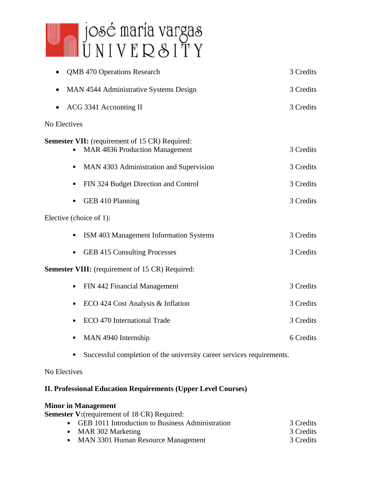

| <b>QMB 470 Operations Research</b>                                                                  | 3 Credits |  |
|-----------------------------------------------------------------------------------------------------|-----------|--|
| MAN 4544 Administrative Systems Design                                                              | 3 Credits |  |
| ACG 3341 Accounting II                                                                              | 3 Credits |  |
| No Electives                                                                                        |           |  |
| <b>Semester VII:</b> (requirement of 15 CR) Required:<br><b>MAR 4836 Production Management</b><br>۰ | 3 Credits |  |
| MAN 4303 Administration and Supervision<br>٠                                                        | 3 Credits |  |
| FIN 324 Budget Direction and Control<br>٠                                                           | 3 Credits |  |
| GEB 410 Planning<br>٠                                                                               | 3 Credits |  |
| Elective (choice of 1):                                                                             |           |  |
| ISM 403 Management Information Systems                                                              | 3 Credits |  |
| <b>GEB 415 Consulting Processes</b><br>٠                                                            | 3 Credits |  |
| <b>Semester VIII:</b> (requirement of 15 CR) Required:                                              |           |  |
| FIN 442 Financial Management<br>۰                                                                   | 3 Credits |  |
| ECO 424 Cost Analysis & Inflation<br>٠                                                              | 3 Credits |  |
| ECO 470 International Trade                                                                         | 3 Credits |  |
| MAN 4940 Internship                                                                                 | 6 Credits |  |

Successful completion of the university career services requirements.  $\bullet$ 

No Electives

# **II. Professional Education Requirements (Upper Level Courses)**

# **Minor in Management**

**Semester V:**(requirement of 18 CR) Required:

| • GEB 1011 Introduction to Business Administration | 3 Credits |
|----------------------------------------------------|-----------|
| • MAR 302 Marketing                                | 3 Credits |
| • MAN 3301 Human Resource Management               | 3 Credits |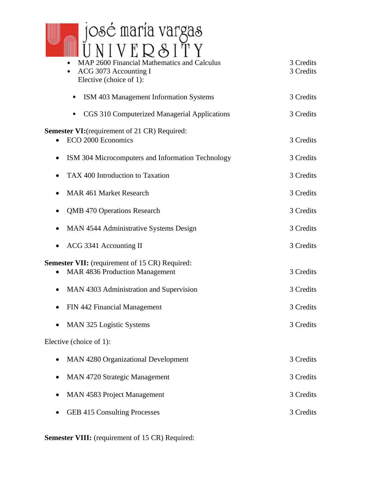

| ACG 3073 Accounting I<br>۰<br>Elective (choice of 1):                                          | 3 Credits |
|------------------------------------------------------------------------------------------------|-----------|
| ISM 403 Management Information Systems<br>٠                                                    | 3 Credits |
| CGS 310 Computerized Managerial Applications<br>٠                                              | 3 Credits |
| <b>Semester VI:</b> (requirement of 21 CR) Required:<br>ECO 2000 Economics                     | 3 Credits |
| ISM 304 Microcomputers and Information Technology<br>$\bullet$                                 | 3 Credits |
| TAX 400 Introduction to Taxation<br>0                                                          | 3 Credits |
| <b>MAR 461 Market Research</b>                                                                 | 3 Credits |
| <b>QMB 470 Operations Research</b>                                                             | 3 Credits |
| MAN 4544 Administrative Systems Design                                                         | 3 Credits |
| ACG 3341 Accounting II<br>$\bullet$                                                            | 3 Credits |
| <b>Semester VII:</b> (requirement of 15 CR) Required:<br><b>MAR 4836 Production Management</b> | 3 Credits |
| MAN 4303 Administration and Supervision<br>$\bullet$                                           | 3 Credits |
| FIN 442 Financial Management                                                                   | 3 Credits |
| MAN 325 Logistic Systems                                                                       | 3 Credits |
| Elective (choice of 1):                                                                        |           |
| <b>MAN 4280 Organizational Development</b>                                                     | 3 Credits |
| <b>MAN 4720 Strategic Management</b>                                                           | 3 Credits |
| MAN 4583 Project Management                                                                    | 3 Credits |
| <b>GEB 415 Consulting Processes</b>                                                            | 3 Credits |

Semester VIII: (requirement of 15 CR) Required: